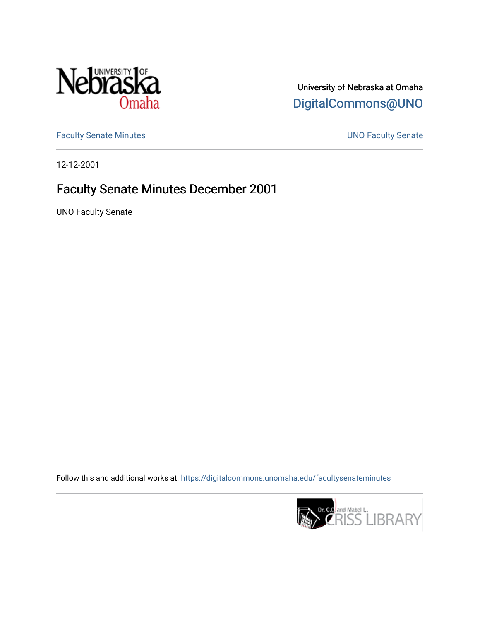

University of Nebraska at Omaha [DigitalCommons@UNO](https://digitalcommons.unomaha.edu/) 

[Faculty Senate Minutes](https://digitalcommons.unomaha.edu/facultysenateminutes) **Exercise Senate UNO Faculty Senate** 

12-12-2001

## Faculty Senate Minutes December 2001

UNO Faculty Senate

Follow this and additional works at: [https://digitalcommons.unomaha.edu/facultysenateminutes](https://digitalcommons.unomaha.edu/facultysenateminutes?utm_source=digitalcommons.unomaha.edu%2Ffacultysenateminutes%2F91&utm_medium=PDF&utm_campaign=PDFCoverPages) 

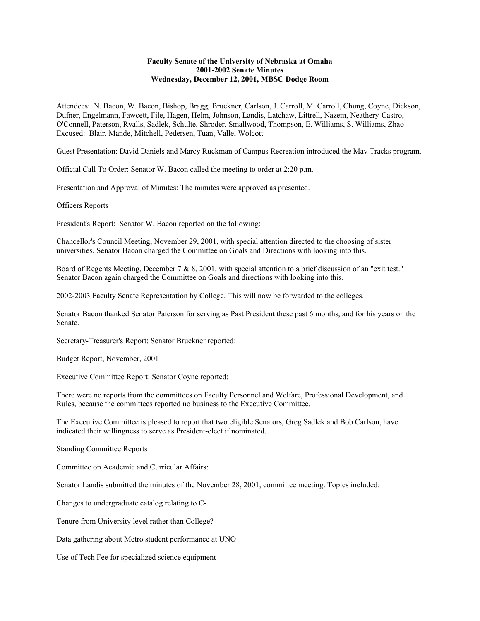## **Faculty Senate of the University of Nebraska at Omaha 2001-2002 Senate Minutes Wednesday, December 12, 2001, MBSC Dodge Room**

Attendees: N. Bacon, W. Bacon, Bishop, Bragg, Bruckner, Carlson, J. Carroll, M. Carroll, Chung, Coyne, Dickson, Dufner, Engelmann, Fawcett, File, Hagen, Helm, Johnson, Landis, Latchaw, Littrell, Nazem, Neathery-Castro, O'Connell, Paterson, Ryalls, Sadlek, Schulte, Shroder, Smallwood, Thompson, E. Williams, S. Williams, Zhao Excused: Blair, Mande, Mitchell, Pedersen, Tuan, Valle, Wolcott

Guest Presentation: David Daniels and Marcy Ruckman of Campus Recreation introduced the Mav Tracks program.

Official Call To Order: Senator W. Bacon called the meeting to order at 2:20 p.m.

Presentation and Approval of Minutes: The minutes were approved as presented.

Officers Reports

President's Report: Senator W. Bacon reported on the following:

Chancellor's Council Meeting, November 29, 2001, with special attention directed to the choosing of sister universities. Senator Bacon charged the Committee on Goals and Directions with looking into this.

Board of Regents Meeting, December 7 & 8, 2001, with special attention to a brief discussion of an "exit test." Senator Bacon again charged the Committee on Goals and directions with looking into this.

2002-2003 Faculty Senate Representation by College. This will now be forwarded to the colleges.

Senator Bacon thanked Senator Paterson for serving as Past President these past 6 months, and for his years on the Senate.

Secretary-Treasurer's Report: Senator Bruckner reported:

Budget Report, November, 2001

Executive Committee Report: Senator Coyne reported:

There were no reports from the committees on Faculty Personnel and Welfare, Professional Development, and Rules, because the committees reported no business to the Executive Committee.

The Executive Committee is pleased to report that two eligible Senators, Greg Sadlek and Bob Carlson, have indicated their willingness to serve as President-elect if nominated.

Standing Committee Reports

Committee on Academic and Curricular Affairs:

Senator Landis submitted the minutes of the November 28, 2001, committee meeting. Topics included:

Changes to undergraduate catalog relating to C-

Tenure from University level rather than College?

Data gathering about Metro student performance at UNO

Use of Tech Fee for specialized science equipment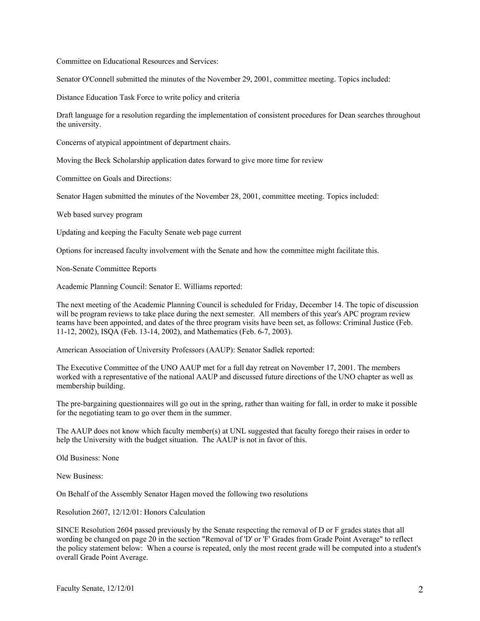Committee on Educational Resources and Services:

Senator O'Connell submitted the minutes of the November 29, 2001, committee meeting. Topics included:

Distance Education Task Force to write policy and criteria

Draft language for a resolution regarding the implementation of consistent procedures for Dean searches throughout the university.

Concerns of atypical appointment of department chairs.

Moving the Beck Scholarship application dates forward to give more time for review

Committee on Goals and Directions:

Senator Hagen submitted the minutes of the November 28, 2001, committee meeting. Topics included:

Web based survey program

Updating and keeping the Faculty Senate web page current

Options for increased faculty involvement with the Senate and how the committee might facilitate this.

Non-Senate Committee Reports

Academic Planning Council: Senator E. Williams reported:

The next meeting of the Academic Planning Council is scheduled for Friday, December 14. The topic of discussion will be program reviews to take place during the next semester. All members of this year's APC program review teams have been appointed, and dates of the three program visits have been set, as follows: Criminal Justice (Feb. 11-12, 2002), ISQA (Feb. 13-14, 2002), and Mathematics (Feb. 6-7, 2003).

American Association of University Professors (AAUP): Senator Sadlek reported:

The Executive Committee of the UNO AAUP met for a full day retreat on November 17, 2001. The members worked with a representative of the national AAUP and discussed future directions of the UNO chapter as well as membership building.

The pre-bargaining questionnaires will go out in the spring, rather than waiting for fall, in order to make it possible for the negotiating team to go over them in the summer.

The AAUP does not know which faculty member(s) at UNL suggested that faculty forego their raises in order to help the University with the budget situation. The AAUP is not in favor of this.

Old Business: None

New Business:

On Behalf of the Assembly Senator Hagen moved the following two resolutions

Resolution 2607, 12/12/01: Honors Calculation

SINCE Resolution 2604 passed previously by the Senate respecting the removal of D or F grades states that all wording be changed on page 20 in the section "Removal of 'D' or 'F' Grades from Grade Point Average" to reflect the policy statement below: When a course is repeated, only the most recent grade will be computed into a student's overall Grade Point Average.